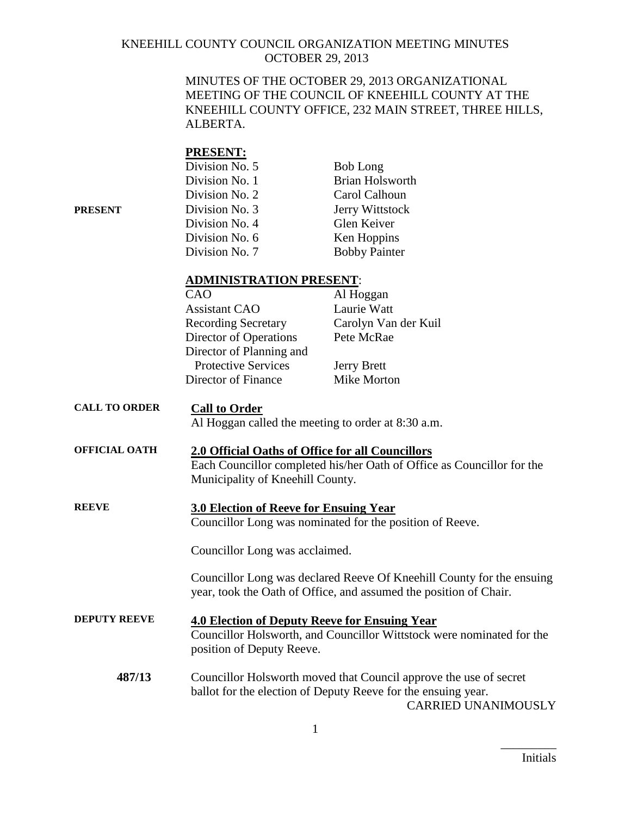MINUTES OF THE OCTOBER 29, 2013 ORGANIZATIONAL MEETING OF THE COUNCIL OF KNEEHILL COUNTY AT THE KNEEHILL COUNTY OFFICE, 232 MAIN STREET, THREE HILLS, ALBERTA.

### **PRESENT:**

|         | Division No. 5 | <b>Bob Long</b>        |
|---------|----------------|------------------------|
|         | Division No. 1 | Brian Holsworth        |
|         | Division No. 2 | Carol Calhoun          |
| PRESENT | Division No. 3 | <b>Jerry Wittstock</b> |
|         | Division No. 4 | Glen Keiver            |
|         | Division No. 6 | Ken Hoppins            |
|         | Division No. 7 | <b>Bobby Painter</b>   |
|         |                |                        |

#### **ADMINISTRATION PRESENT**:

| CAO                        | Al Hoggan            |
|----------------------------|----------------------|
| <b>Assistant CAO</b>       | Laurie Watt          |
| <b>Recording Secretary</b> | Carolyn Van der Kuil |
| Director of Operations     | Pete McRae           |
| Director of Planning and   |                      |
| <b>Protective Services</b> | <b>Jerry Brett</b>   |
| Director of Finance        | <b>Mike Morton</b>   |
|                            |                      |

# **CALL TO ORDER Call to Order**

Al Hoggan called the meeting to order at 8:30 a.m.

### **OFFICIAL OATH 2.0 Official Oaths of Office for all Councillors** Each Councillor completed his/her Oath of Office as Councillor for the Municipality of Kneehill County.

### **REEVE 3.0 Election of Reeve for Ensuing Year** Councillor Long was nominated for the position of Reeve.

Councillor Long was acclaimed.

Councillor Long was declared Reeve Of Kneehill County for the ensuing year, took the Oath of Office, and assumed the position of Chair.

- **DEPUTY REEVE 4.0 Election of Deputy Reeve for Ensuing Year** Councillor Holsworth, and Councillor Wittstock were nominated for the position of Deputy Reeve.
	- **487/13** Councillor Holsworth moved that Council approve the use of secret ballot for the election of Deputy Reeve for the ensuing year. CARRIED UNANIMOUSLY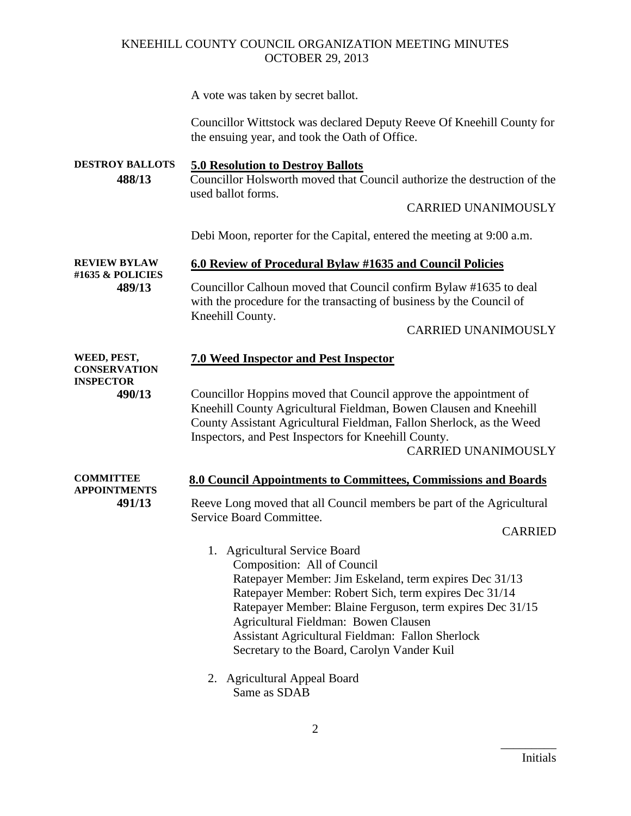A vote was taken by secret ballot.

Councillor Wittstock was declared Deputy Reeve Of Kneehill County for the ensuing year, and took the Oath of Office.

**DESTROY BALLOTS 5.0 Resolution to Destroy Ballots 488/13** Councillor Holsworth moved that Council authorize the destruction of the used ballot forms. CARRIED UNANIMOUSLY Debi Moon, reporter for the Capital, entered the meeting at 9:00 a.m. **REVIEW BYLAW #1635 & POLICIES 6.0 Review of Procedural Bylaw #1635 and Council Policies 489/13** Councillor Calhoun moved that Council confirm Bylaw #1635 to deal with the procedure for the transacting of business by the Council of Kneehill County. CARRIED UNANIMOUSLY

| WEED, PEST,<br><b>CONSERVATION</b>      | <b>7.0 Weed Inspector and Pest Inspector</b>                                                                                                                                                                                                                                                                                                                                            |
|-----------------------------------------|-----------------------------------------------------------------------------------------------------------------------------------------------------------------------------------------------------------------------------------------------------------------------------------------------------------------------------------------------------------------------------------------|
| <b>INSPECTOR</b><br>490/13              | Councillor Hoppins moved that Council approve the appointment of<br>Kneehill County Agricultural Fieldman, Bowen Clausen and Kneehill<br>County Assistant Agricultural Fieldman, Fallon Sherlock, as the Weed<br>Inspectors, and Pest Inspectors for Kneehill County.<br><b>CARRIED UNANIMOUSLY</b>                                                                                     |
| <b>COMMITTEE</b><br><b>APPOINTMENTS</b> | 8.0 Council Appointments to Committees, Commissions and Boards                                                                                                                                                                                                                                                                                                                          |
| 491/13                                  | Reeve Long moved that all Council members be part of the Agricultural<br>Service Board Committee.                                                                                                                                                                                                                                                                                       |
|                                         | <b>CARRIED</b>                                                                                                                                                                                                                                                                                                                                                                          |
|                                         | 1. Agricultural Service Board<br>Composition: All of Council<br>Ratepayer Member: Jim Eskeland, term expires Dec 31/13<br>Ratepayer Member: Robert Sich, term expires Dec 31/14<br>Ratepayer Member: Blaine Ferguson, term expires Dec 31/15<br>Agricultural Fieldman: Bowen Clausen<br>Assistant Agricultural Fieldman: Fallon Sherlock<br>Secretary to the Board, Carolyn Vander Kuil |
|                                         | 2. Agricultural Appeal Board                                                                                                                                                                                                                                                                                                                                                            |

Same as SDAB

2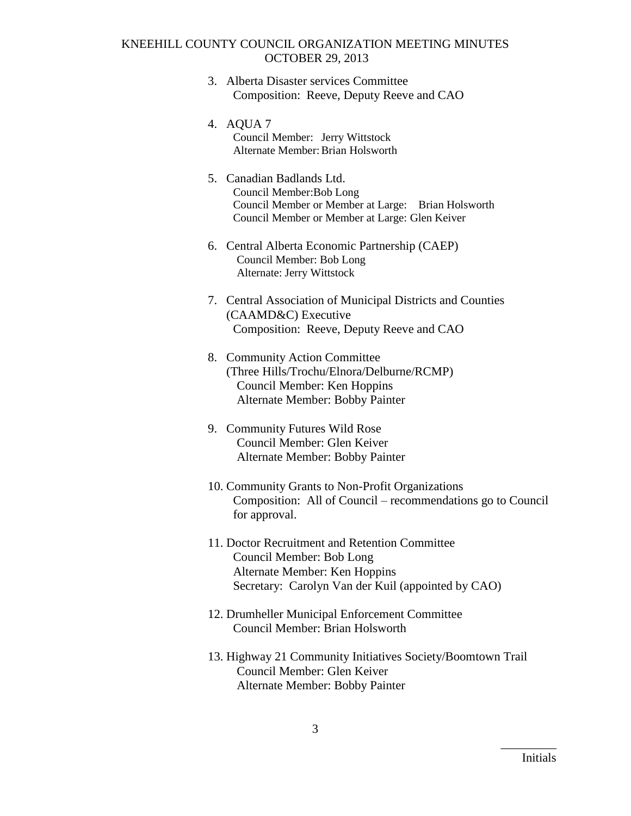- 3. Alberta Disaster services Committee Composition: Reeve, Deputy Reeve and CAO
- 4. AQUA 7 Council Member: Jerry Wittstock Alternate Member:Brian Holsworth
- 5. Canadian Badlands Ltd. Council Member:Bob Long Council Member or Member at Large: Brian Holsworth Council Member or Member at Large: Glen Keiver
- 6. Central Alberta Economic Partnership (CAEP) Council Member: Bob Long Alternate: Jerry Wittstock
- 7. Central Association of Municipal Districts and Counties (CAAMD&C) Executive Composition: Reeve, Deputy Reeve and CAO
- 8. Community Action Committee (Three Hills/Trochu/Elnora/Delburne/RCMP) Council Member: Ken Hoppins Alternate Member: Bobby Painter
- 9. Community Futures Wild Rose Council Member: Glen Keiver Alternate Member: Bobby Painter
- 10. Community Grants to Non-Profit Organizations Composition: All of Council – recommendations go to Council for approval.
- 11. Doctor Recruitment and Retention Committee Council Member: Bob Long Alternate Member: Ken Hoppins Secretary: Carolyn Van der Kuil (appointed by CAO)
- 12. Drumheller Municipal Enforcement Committee Council Member: Brian Holsworth
- 13. Highway 21 Community Initiatives Society/Boomtown Trail Council Member: Glen Keiver Alternate Member: Bobby Painter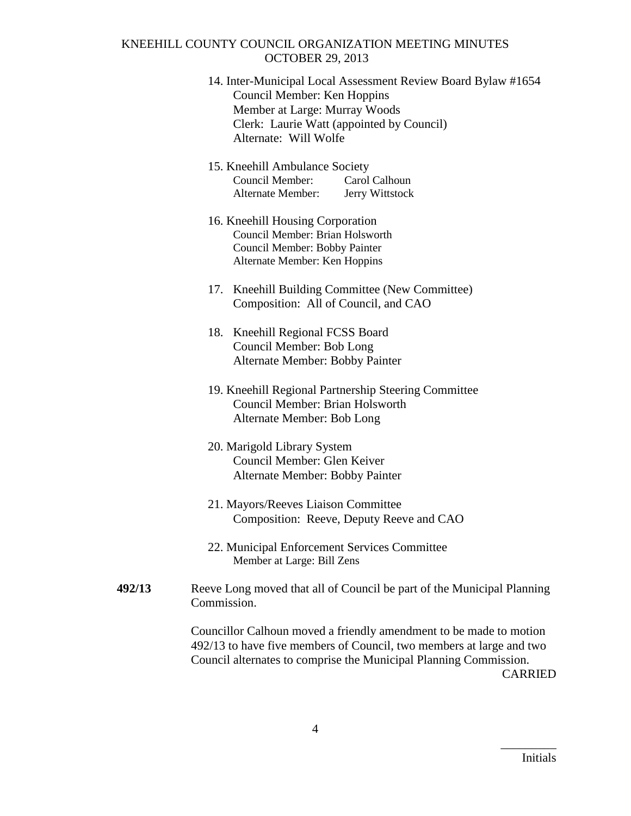- 14. Inter-Municipal Local Assessment Review Board Bylaw #1654 Council Member: Ken Hoppins Member at Large: Murray Woods Clerk: Laurie Watt (appointed by Council) Alternate: Will Wolfe
- 15. Kneehill Ambulance Society Council Member: Carol Calhoun Alternate Member: Jerry Wittstock
- 16. Kneehill Housing Corporation Council Member: Brian Holsworth Council Member: Bobby Painter Alternate Member: Ken Hoppins
- 17. Kneehill Building Committee (New Committee) Composition: All of Council, and CAO
- 18. Kneehill Regional FCSS Board Council Member: Bob Long Alternate Member: Bobby Painter
- 19. Kneehill Regional Partnership Steering Committee Council Member: Brian Holsworth Alternate Member: Bob Long
- 20. Marigold Library System Council Member: Glen Keiver Alternate Member: Bobby Painter
- 21. Mayors/Reeves Liaison Committee Composition: Reeve, Deputy Reeve and CAO
- 22. Municipal Enforcement Services Committee Member at Large: Bill Zens
- **492/13** Reeve Long moved that all of Council be part of the Municipal Planning Commission.

Councillor Calhoun moved a friendly amendment to be made to motion 492/13 to have five members of Council, two members at large and two Council alternates to comprise the Municipal Planning Commission. CARRIED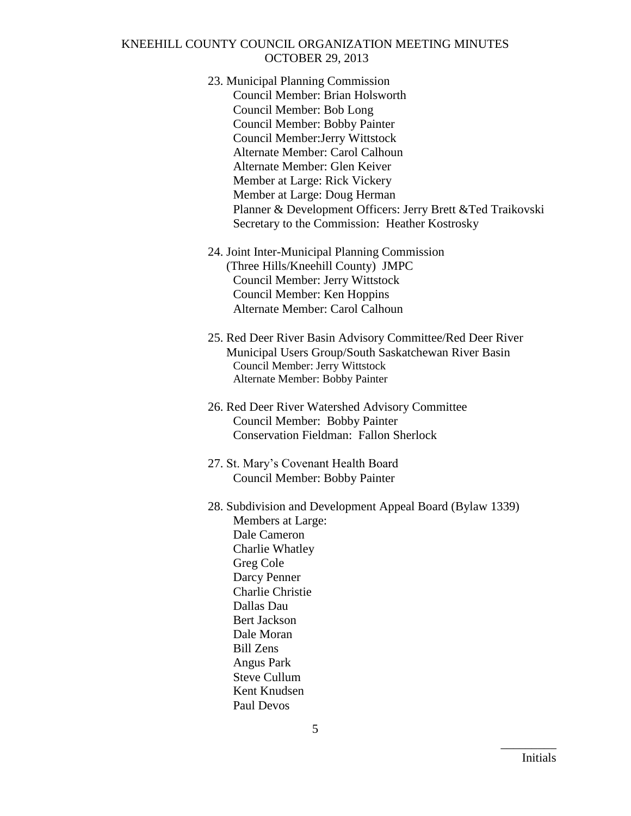- 23. Municipal Planning Commission Council Member: Brian Holsworth Council Member: Bob Long Council Member: Bobby Painter Council Member:Jerry Wittstock Alternate Member: Carol Calhoun Alternate Member: Glen Keiver Member at Large: Rick Vickery Member at Large: Doug Herman Planner & Development Officers: Jerry Brett &Ted Traikovski Secretary to the Commission: Heather Kostrosky
- 24. Joint Inter-Municipal Planning Commission (Three Hills/Kneehill County) JMPC Council Member: Jerry Wittstock Council Member: Ken Hoppins Alternate Member: Carol Calhoun
- 25. Red Deer River Basin Advisory Committee/Red Deer River Municipal Users Group/South Saskatchewan River Basin Council Member: Jerry Wittstock Alternate Member: Bobby Painter
- 26. Red Deer River Watershed Advisory Committee Council Member: Bobby Painter Conservation Fieldman: Fallon Sherlock
- 27. St. Mary's Covenant Health Board Council Member: Bobby Painter
- 28. Subdivision and Development Appeal Board (Bylaw 1339) Members at Large: Dale Cameron Charlie Whatley Greg Cole Darcy Penner Charlie Christie Dallas Dau Bert Jackson Dale Moran Bill Zens Angus Park Steve Cullum Kent Knudsen Paul Devos